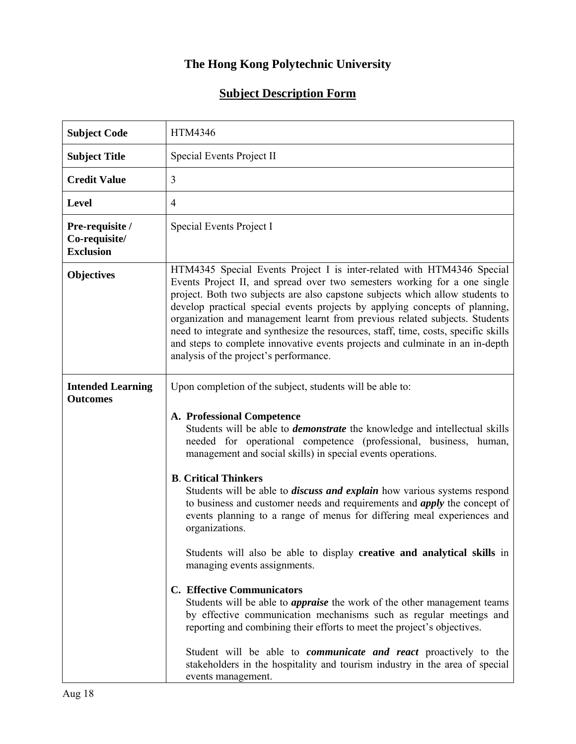## **The Hong Kong Polytechnic University**

## **Subject Description Form**

| <b>Subject Code</b>                                  | <b>HTM4346</b>                                                                                                                                                                                                                                                                                                                                                                                                                                                                                                                                                                                                                                                                                                               |
|------------------------------------------------------|------------------------------------------------------------------------------------------------------------------------------------------------------------------------------------------------------------------------------------------------------------------------------------------------------------------------------------------------------------------------------------------------------------------------------------------------------------------------------------------------------------------------------------------------------------------------------------------------------------------------------------------------------------------------------------------------------------------------------|
| <b>Subject Title</b>                                 | Special Events Project II                                                                                                                                                                                                                                                                                                                                                                                                                                                                                                                                                                                                                                                                                                    |
| <b>Credit Value</b>                                  | 3                                                                                                                                                                                                                                                                                                                                                                                                                                                                                                                                                                                                                                                                                                                            |
| <b>Level</b>                                         | $\overline{4}$                                                                                                                                                                                                                                                                                                                                                                                                                                                                                                                                                                                                                                                                                                               |
| Pre-requisite /<br>Co-requisite/<br><b>Exclusion</b> | Special Events Project I                                                                                                                                                                                                                                                                                                                                                                                                                                                                                                                                                                                                                                                                                                     |
| <b>Objectives</b>                                    | HTM4345 Special Events Project I is inter-related with HTM4346 Special<br>Events Project II, and spread over two semesters working for a one single<br>project. Both two subjects are also capstone subjects which allow students to<br>develop practical special events projects by applying concepts of planning,<br>organization and management learnt from previous related subjects. Students<br>need to integrate and synthesize the resources, staff, time, costs, specific skills<br>and steps to complete innovative events projects and culminate in an in-depth<br>analysis of the project's performance.                                                                                                         |
| <b>Intended Learning</b><br><b>Outcomes</b>          | Upon completion of the subject, students will be able to:<br>A. Professional Competence<br>Students will be able to <i>demonstrate</i> the knowledge and intellectual skills<br>needed for operational competence (professional, business, human,<br>management and social skills) in special events operations.<br><b>B.</b> Critical Thinkers<br>Students will be able to <i>discuss and explain</i> how various systems respond<br>to business and customer needs and requirements and <i>apply</i> the concept of<br>events planning to a range of menus for differing meal experiences and<br>organizations.<br>Students will also be able to display creative and analytical skills in<br>managing events assignments. |
|                                                      | <b>C.</b> Effective Communicators<br>Students will be able to <i>appraise</i> the work of the other management teams<br>by effective communication mechanisms such as regular meetings and<br>reporting and combining their efforts to meet the project's objectives.<br>Student will be able to <i>communicate and react</i> proactively to the<br>stakeholders in the hospitality and tourism industry in the area of special<br>events management.                                                                                                                                                                                                                                                                        |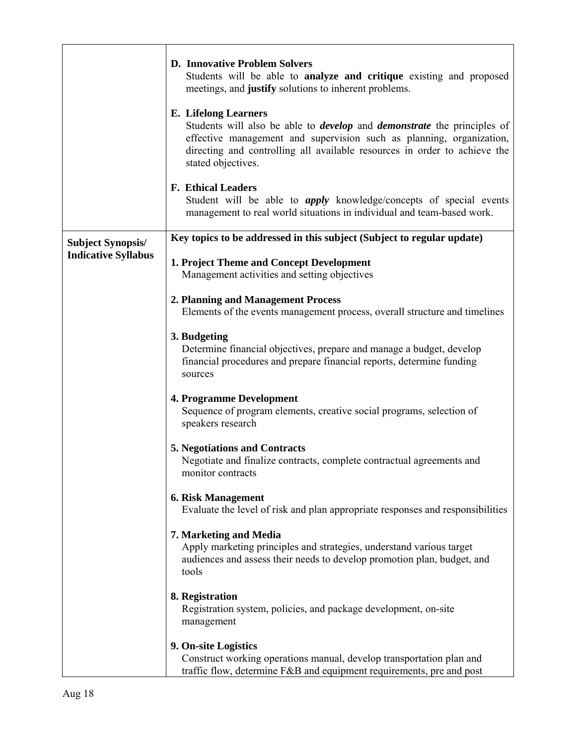|                            | <b>D. Innovative Problem Solvers</b><br>Students will be able to analyze and critique existing and proposed<br>meetings, and justify solutions to inherent problems.                                                                                                                            |
|----------------------------|-------------------------------------------------------------------------------------------------------------------------------------------------------------------------------------------------------------------------------------------------------------------------------------------------|
|                            | <b>E.</b> Lifelong Learners<br>Students will also be able to <i>develop</i> and <i>demonstrate</i> the principles of<br>effective management and supervision such as planning, organization,<br>directing and controlling all available resources in order to achieve the<br>stated objectives. |
|                            | <b>F. Ethical Leaders</b><br>Student will be able to <i>apply</i> knowledge/concepts of special events<br>management to real world situations in individual and team-based work.                                                                                                                |
| <b>Subject Synopsis/</b>   | Key topics to be addressed in this subject (Subject to regular update)                                                                                                                                                                                                                          |
| <b>Indicative Syllabus</b> | 1. Project Theme and Concept Development<br>Management activities and setting objectives                                                                                                                                                                                                        |
|                            | 2. Planning and Management Process<br>Elements of the events management process, overall structure and timelines                                                                                                                                                                                |
|                            | 3. Budgeting<br>Determine financial objectives, prepare and manage a budget, develop<br>financial procedures and prepare financial reports, determine funding<br>sources                                                                                                                        |
|                            | <b>4. Programme Development</b><br>Sequence of program elements, creative social programs, selection of<br>speakers research                                                                                                                                                                    |
|                            | <b>5. Negotiations and Contracts</b><br>Negotiate and finalize contracts, complete contractual agreements and<br>monitor contracts                                                                                                                                                              |
|                            | <b>6. Risk Management</b><br>Evaluate the level of risk and plan appropriate responses and responsibilities                                                                                                                                                                                     |
|                            | 7. Marketing and Media<br>Apply marketing principles and strategies, understand various target<br>audiences and assess their needs to develop promotion plan, budget, and<br>tools                                                                                                              |
|                            | 8. Registration<br>Registration system, policies, and package development, on-site<br>management                                                                                                                                                                                                |
|                            | 9. On-site Logistics<br>Construct working operations manual, develop transportation plan and<br>traffic flow, determine F&B and equipment requirements, pre and post                                                                                                                            |

٦

 $\mathbf{r}$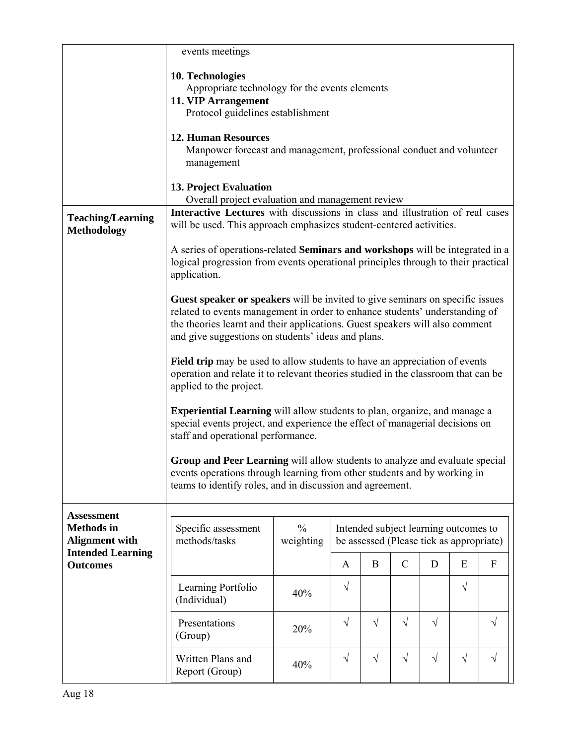|                                                | events meetings                                                                                                                                                                                                                                                                                    |                            |            |                                                                                   |               |           |           |              |
|------------------------------------------------|----------------------------------------------------------------------------------------------------------------------------------------------------------------------------------------------------------------------------------------------------------------------------------------------------|----------------------------|------------|-----------------------------------------------------------------------------------|---------------|-----------|-----------|--------------|
|                                                | 10. Technologies<br>Appropriate technology for the events elements<br>11. VIP Arrangement<br>Protocol guidelines establishment                                                                                                                                                                     |                            |            |                                                                                   |               |           |           |              |
|                                                | <b>12. Human Resources</b><br>Manpower forecast and management, professional conduct and volunteer<br>management                                                                                                                                                                                   |                            |            |                                                                                   |               |           |           |              |
|                                                | 13. Project Evaluation<br>Overall project evaluation and management review                                                                                                                                                                                                                         |                            |            |                                                                                   |               |           |           |              |
| <b>Teaching/Learning</b><br><b>Methodology</b> | Interactive Lectures with discussions in class and illustration of real cases<br>will be used. This approach emphasizes student-centered activities.                                                                                                                                               |                            |            |                                                                                   |               |           |           |              |
|                                                | A series of operations-related Seminars and workshops will be integrated in a<br>logical progression from events operational principles through to their practical<br>application.                                                                                                                 |                            |            |                                                                                   |               |           |           |              |
|                                                | Guest speaker or speakers will be invited to give seminars on specific issues<br>related to events management in order to enhance students' understanding of<br>the theories learnt and their applications. Guest speakers will also comment<br>and give suggestions on students' ideas and plans. |                            |            |                                                                                   |               |           |           |              |
|                                                | Field trip may be used to allow students to have an appreciation of events<br>operation and relate it to relevant theories studied in the classroom that can be<br>applied to the project.                                                                                                         |                            |            |                                                                                   |               |           |           |              |
|                                                | Experiential Learning will allow students to plan, organize, and manage a<br>special events project, and experience the effect of managerial decisions on<br>staff and operational performance.                                                                                                    |                            |            |                                                                                   |               |           |           |              |
|                                                | Group and Peer Learning will allow students to analyze and evaluate special<br>events operations through learning from other students and by working in<br>teams to identify roles, and in discussion and agreement.                                                                               |                            |            |                                                                                   |               |           |           |              |
| <b>Assessment</b>                              |                                                                                                                                                                                                                                                                                                    |                            |            |                                                                                   |               |           |           |              |
| <b>Methods</b> in<br><b>Alignment with</b>     | Specific assessment<br>methods/tasks                                                                                                                                                                                                                                                               | $\frac{0}{0}$<br>weighting |            | Intended subject learning outcomes to<br>be assessed (Please tick as appropriate) |               |           |           |              |
| <b>Intended Learning</b><br><b>Outcomes</b>    |                                                                                                                                                                                                                                                                                                    |                            | A          | B                                                                                 | $\mathcal{C}$ | D         | E         | $\mathbf{F}$ |
|                                                | Learning Portfolio<br>(Individual)                                                                                                                                                                                                                                                                 | 40%                        | V          |                                                                                   |               |           | $\sqrt{}$ |              |
|                                                | Presentations<br>(Group)                                                                                                                                                                                                                                                                           | 20%                        | $\sqrt{ }$ | $\sqrt{ }$                                                                        | $\sqrt{}$     | $\sqrt{}$ |           | $\sqrt{}$    |
|                                                | Written Plans and<br>Report (Group)                                                                                                                                                                                                                                                                | 40%                        | $\sqrt{}$  | $\sqrt{}$                                                                         | $\sqrt{}$     | $\sqrt{}$ | $\sqrt{}$ | $\sqrt{}$    |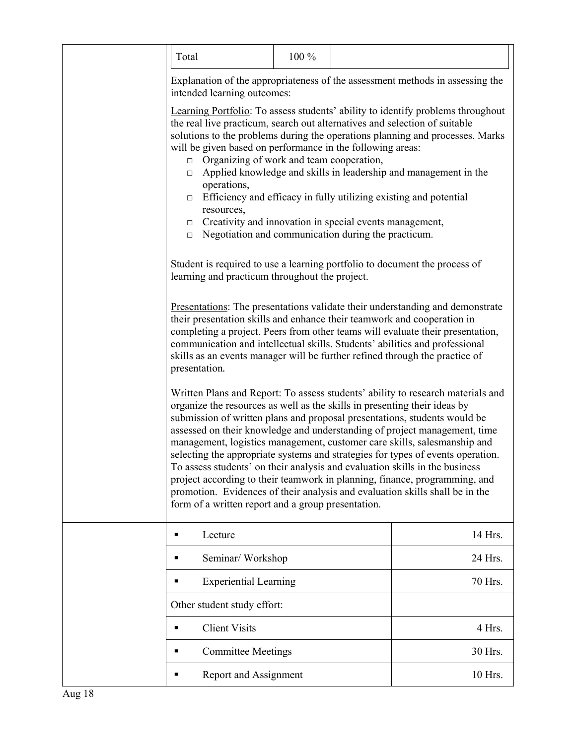|  | Total                                                                                                                                                                                                                                                                                                                                                                                                                                                                                                                                                                                                                                                                                                                                                                                                                                                                                                                                                                                                                                                                                                                                                                                                                                                           | 100 % |  |                                                                                                                                                                                                                                                 |  |
|--|-----------------------------------------------------------------------------------------------------------------------------------------------------------------------------------------------------------------------------------------------------------------------------------------------------------------------------------------------------------------------------------------------------------------------------------------------------------------------------------------------------------------------------------------------------------------------------------------------------------------------------------------------------------------------------------------------------------------------------------------------------------------------------------------------------------------------------------------------------------------------------------------------------------------------------------------------------------------------------------------------------------------------------------------------------------------------------------------------------------------------------------------------------------------------------------------------------------------------------------------------------------------|-------|--|-------------------------------------------------------------------------------------------------------------------------------------------------------------------------------------------------------------------------------------------------|--|
|  | Explanation of the appropriateness of the assessment methods in assessing the<br>intended learning outcomes:                                                                                                                                                                                                                                                                                                                                                                                                                                                                                                                                                                                                                                                                                                                                                                                                                                                                                                                                                                                                                                                                                                                                                    |       |  |                                                                                                                                                                                                                                                 |  |
|  | Learning Portfolio: To assess students' ability to identify problems throughout<br>the real live practicum, search out alternatives and selection of suitable<br>solutions to the problems during the operations planning and processes. Marks<br>will be given based on performance in the following areas:<br>Organizing of work and team cooperation,<br>$\Box$<br>Applied knowledge and skills in leadership and management in the<br>$\Box$<br>operations,<br>Efficiency and efficacy in fully utilizing existing and potential<br>$\Box$<br>resources,<br>Creativity and innovation in special events management,<br>$\Box$<br>Negotiation and communication during the practicum.<br>$\Box$<br>Student is required to use a learning portfolio to document the process of<br>learning and practicum throughout the project.<br>Presentations: The presentations validate their understanding and demonstrate<br>their presentation skills and enhance their teamwork and cooperation in<br>completing a project. Peers from other teams will evaluate their presentation,<br>communication and intellectual skills. Students' abilities and professional<br>skills as an events manager will be further refined through the practice of<br>presentation. |       |  |                                                                                                                                                                                                                                                 |  |
|  |                                                                                                                                                                                                                                                                                                                                                                                                                                                                                                                                                                                                                                                                                                                                                                                                                                                                                                                                                                                                                                                                                                                                                                                                                                                                 |       |  |                                                                                                                                                                                                                                                 |  |
|  |                                                                                                                                                                                                                                                                                                                                                                                                                                                                                                                                                                                                                                                                                                                                                                                                                                                                                                                                                                                                                                                                                                                                                                                                                                                                 |       |  |                                                                                                                                                                                                                                                 |  |
|  | organize the resources as well as the skills in presenting their ideas by<br>submission of written plans and proposal presentations, students would be<br>management, logistics management, customer care skills, salesmanship and<br>To assess students' on their analysis and evaluation skills in the business<br>project according to their teamwork in planning, finance, programming, and<br>promotion. Evidences of their analysis and evaluation skills shall be in the<br>form of a written report and a group presentation.                                                                                                                                                                                                                                                                                                                                                                                                                                                                                                                                                                                                                                                                                                                           |       |  | Written Plans and Report: To assess students' ability to research materials and<br>assessed on their knowledge and understanding of project management, time<br>selecting the appropriate systems and strategies for types of events operation. |  |
|  | Lecture                                                                                                                                                                                                                                                                                                                                                                                                                                                                                                                                                                                                                                                                                                                                                                                                                                                                                                                                                                                                                                                                                                                                                                                                                                                         |       |  | 14 Hrs.                                                                                                                                                                                                                                         |  |
|  | Seminar/Workshop<br>٠                                                                                                                                                                                                                                                                                                                                                                                                                                                                                                                                                                                                                                                                                                                                                                                                                                                                                                                                                                                                                                                                                                                                                                                                                                           |       |  | 24 Hrs.                                                                                                                                                                                                                                         |  |
|  | <b>Experiential Learning</b>                                                                                                                                                                                                                                                                                                                                                                                                                                                                                                                                                                                                                                                                                                                                                                                                                                                                                                                                                                                                                                                                                                                                                                                                                                    |       |  | 70 Hrs.                                                                                                                                                                                                                                         |  |
|  | Other student study effort:                                                                                                                                                                                                                                                                                                                                                                                                                                                                                                                                                                                                                                                                                                                                                                                                                                                                                                                                                                                                                                                                                                                                                                                                                                     |       |  |                                                                                                                                                                                                                                                 |  |
|  | <b>Client Visits</b>                                                                                                                                                                                                                                                                                                                                                                                                                                                                                                                                                                                                                                                                                                                                                                                                                                                                                                                                                                                                                                                                                                                                                                                                                                            |       |  | 4 Hrs.                                                                                                                                                                                                                                          |  |
|  | <b>Committee Meetings</b>                                                                                                                                                                                                                                                                                                                                                                                                                                                                                                                                                                                                                                                                                                                                                                                                                                                                                                                                                                                                                                                                                                                                                                                                                                       |       |  | 30 Hrs.                                                                                                                                                                                                                                         |  |
|  | Report and Assignment                                                                                                                                                                                                                                                                                                                                                                                                                                                                                                                                                                                                                                                                                                                                                                                                                                                                                                                                                                                                                                                                                                                                                                                                                                           |       |  | 10 Hrs.                                                                                                                                                                                                                                         |  |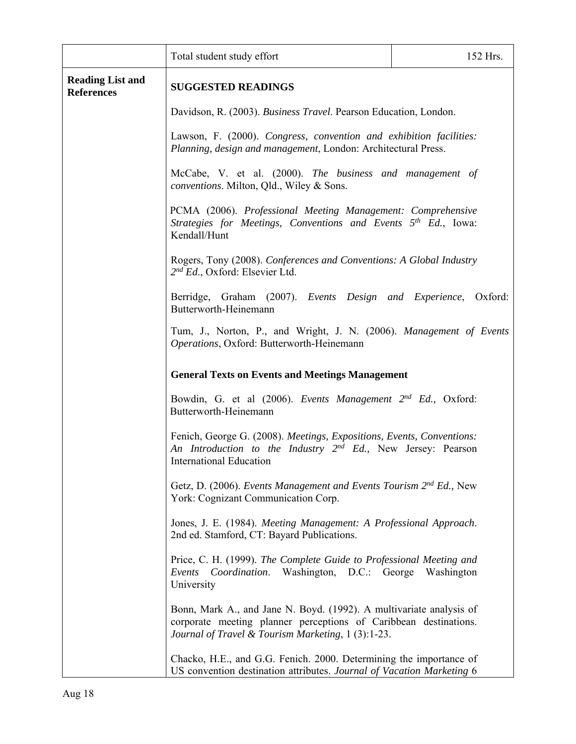|                                              | Total student study effort                                                                                                                                                                                                                                                                                                                                                   | 152 Hrs. |  |  |
|----------------------------------------------|------------------------------------------------------------------------------------------------------------------------------------------------------------------------------------------------------------------------------------------------------------------------------------------------------------------------------------------------------------------------------|----------|--|--|
| <b>Reading List and</b><br><b>References</b> | <b>SUGGESTED READINGS</b>                                                                                                                                                                                                                                                                                                                                                    |          |  |  |
|                                              | Davidson, R. (2003). Business Travel. Pearson Education, London.                                                                                                                                                                                                                                                                                                             |          |  |  |
|                                              | Lawson, F. (2000). Congress, convention and exhibition facilities:<br>Planning, design and management, London: Architectural Press.                                                                                                                                                                                                                                          |          |  |  |
|                                              | McCabe, V. et al. (2000). The business and management of<br>conventions. Milton, Qld., Wiley & Sons.<br>PCMA (2006). Professional Meeting Management: Comprehensive<br>Strategies for Meetings, Conventions and Events $5th Ed$ , Iowa:<br>Kendall/Hunt<br>Rogers, Tony (2008). Conferences and Conventions: A Global Industry<br>2 <sup>nd</sup> Ed., Oxford: Elsevier Ltd. |          |  |  |
|                                              |                                                                                                                                                                                                                                                                                                                                                                              |          |  |  |
|                                              |                                                                                                                                                                                                                                                                                                                                                                              |          |  |  |
|                                              | Berridge, Graham (2007). Events Design and Experience, Oxford:<br>Butterworth-Heinemann                                                                                                                                                                                                                                                                                      |          |  |  |
|                                              | Tum, J., Norton, P., and Wright, J. N. (2006). Management of Events<br>Operations, Oxford: Butterworth-Heinemann                                                                                                                                                                                                                                                             |          |  |  |
|                                              | <b>General Texts on Events and Meetings Management</b>                                                                                                                                                                                                                                                                                                                       |          |  |  |
|                                              | Bowdin, G. et al (2006). Events Management 2 <sup>nd</sup> Ed., Oxford:<br>Butterworth-Heinemann                                                                                                                                                                                                                                                                             |          |  |  |
|                                              | Fenich, George G. (2008). Meetings, Expositions, Events, Conventions:<br>An Introduction to the Industry 2 <sup>nd</sup> Ed., New Jersey: Pearson<br><b>International Education</b>                                                                                                                                                                                          |          |  |  |
|                                              | Getz, D. (2006). Events Management and Events Tourism 2 <sup>nd</sup> Ed., New<br>York: Cognizant Communication Corp.                                                                                                                                                                                                                                                        |          |  |  |
|                                              | Jones, J. E. (1984). Meeting Management: A Professional Approach.<br>2nd ed. Stamford, CT: Bayard Publications.                                                                                                                                                                                                                                                              |          |  |  |
|                                              | Price, C. H. (1999). The Complete Guide to Professional Meeting and<br>Events Coordination. Washington, D.C.: George Washington<br>University                                                                                                                                                                                                                                |          |  |  |
|                                              | Bonn, Mark A., and Jane N. Boyd. (1992). A multivariate analysis of<br>corporate meeting planner perceptions of Caribbean destinations.<br>Journal of Travel & Tourism Marketing, 1 (3):1-23.                                                                                                                                                                                |          |  |  |
|                                              | Chacko, H.E., and G.G. Fenich. 2000. Determining the importance of<br>US convention destination attributes. Journal of Vacation Marketing 6                                                                                                                                                                                                                                  |          |  |  |